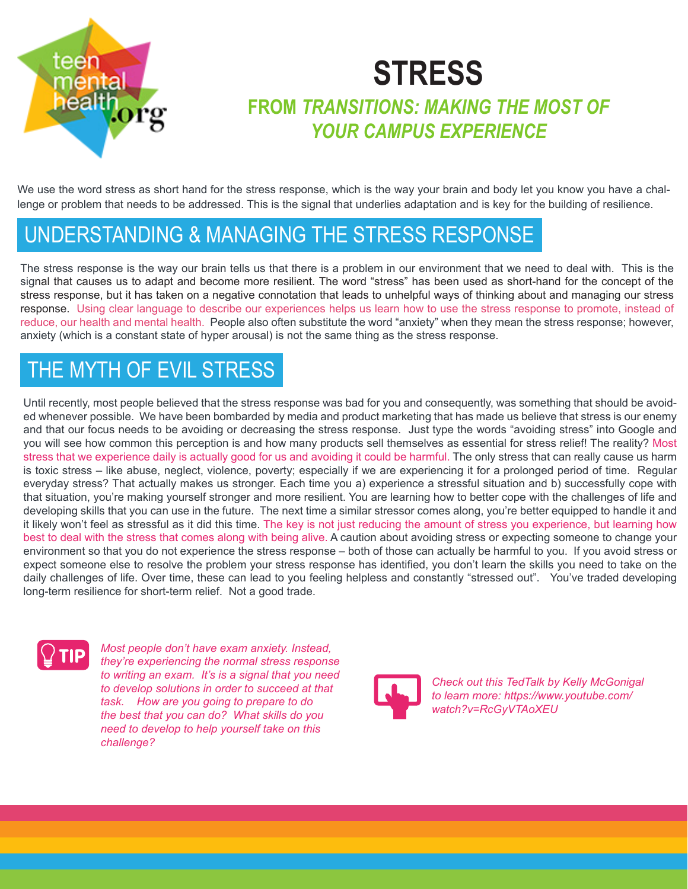

## **STRESS FROM** *TRANSITIONS: MAKING THE MOST OF YOUR CAMPUS EXPERIENCE*

We use the word stress as short hand for the stress response, which is the way your brain and body let you know you have a challenge or problem that needs to be addressed. This is the signal that underlies adaptation and is key for the building of resilience.

## UNDERSTANDING & MANAGING THE STRESS RESPONSE

The stress response is the way our brain tells us that there is a problem in our environment that we need to deal with. This is the signal that causes us to adapt and become more resilient. The word "stress" has been used as short-hand for the concept of the stress response, but it has taken on a negative connotation that leads to unhelpful ways of thinking about and managing our stress response. Using clear language to describe our experiences helps us learn how to use the stress response to promote, instead of reduce, our health and mental health. People also often substitute the word "anxiety" when they mean the stress response; however, anxiety (which is a constant state of hyper arousal) is not the same thing as the stress response.

## THE MYTH OF EVIL STRESS

Until recently, most people believed that the stress response was bad for you and consequently, was something that should be avoided whenever possible. We have been bombarded by media and product marketing that has made us believe that stress is our enemy and that our focus needs to be avoiding or decreasing the stress response. Just type the words "avoiding stress" into Google and you will see how common this perception is and how many products sell themselves as essential for stress relief! The reality? Most stress that we experience daily is actually good for us and avoiding it could be harmful. The only stress that can really cause us harm is toxic stress – like abuse, neglect, violence, poverty; especially if we are experiencing it for a prolonged period of time. Regular everyday stress? That actually makes us stronger. Each time you a) experience a stressful situation and b) successfully cope with that situation, you're making yourself stronger and more resilient. You are learning how to better cope with the challenges of life and developing skills that you can use in the future. The next time a similar stressor comes along, you're better equipped to handle it and it likely won't feel as stressful as it did this time. The key is not just reducing the amount of stress you experience, but learning how best to deal with the stress that comes along with being alive. A caution about avoiding stress or expecting someone to change your environment so that you do not experience the stress response – both of those can actually be harmful to you. If you avoid stress or expect someone else to resolve the problem your stress response has identified, you don't learn the skills you need to take on the daily challenges of life. Over time, these can lead to you feeling helpless and constantly "stressed out". You've traded developing long-term resilience for short-term relief. Not a good trade.



*Most people don't have exam anxiety. Instead, they're experiencing the normal stress response to writing an exam. It's is a signal that you need to develop solutions in order to succeed at that task. How are you going to prepare to do the best that you can do? What skills do you need to develop to help yourself take on this challenge?*



*Check out this TedTalk by Kelly McGonigal to learn more: https://www.youtube.com/ watch?v=RcGyVTAoXEU*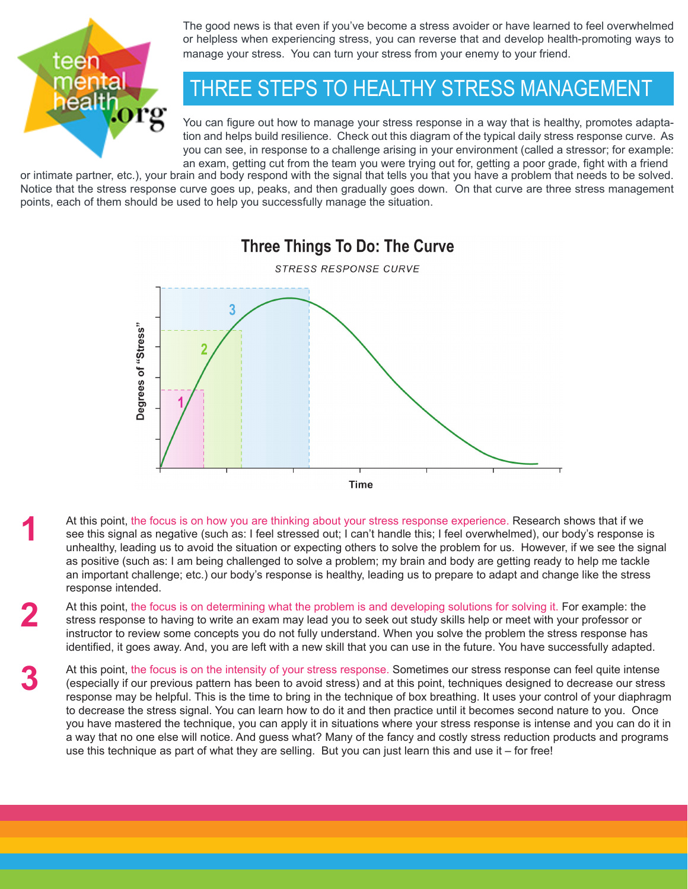

**1**

**2**

**3**

The good news is that even if you've become a stress avoider or have learned to feel overwhelmed or helpless when experiencing stress, you can reverse that and develop health-promoting ways to manage your stress. You can turn your stress from your enemy to your friend.

## THREE STEPS TO HEALTHY STRESS MANAGEMENT

You can figure out how to manage your stress response in a way that is healthy, promotes adaptation and helps build resilience. Check out this diagram of the typical daily stress response curve. As you can see, in response to a challenge arising in your environment (called a stressor; for example: an exam, getting cut from the team you were trying out for, getting a poor grade, fight with a friend

or intimate partner, etc.), your brain and body respond with the signal that tells you that you have a problem that needs to be solved. Notice that the stress response curve goes up, peaks, and then gradually goes down. On that curve are three stress management points, each of them should be used to help you successfully manage the situation.



At this point, the focus is on how you are thinking about your stress response experience. Research shows that if we see this signal as negative (such as: I feel stressed out; I can't handle this; I feel overwhelmed), our body's response is unhealthy, leading us to avoid the situation or expecting others to solve the problem for us. However, if we see the signal as positive (such as: I am being challenged to solve a problem; my brain and body are getting ready to help me tackle an important challenge; etc.) our body's response is healthy, leading us to prepare to adapt and change like the stress response intended.

At this point, the focus is on determining what the problem is and developing solutions for solving it. For example: the stress response to having to write an exam may lead you to seek out study skills help or meet with your professor or instructor to review some concepts you do not fully understand. When you solve the problem the stress response has identified, it goes away. And, you are left with a new skill that you can use in the future. You have successfully adapted.

At this point, the focus is on the intensity of your stress response. Sometimes our stress response can feel quite intense (especially if our previous pattern has been to avoid stress) and at this point, techniques designed to decrease our stress response may be helpful. This is the time to bring in the technique of box breathing. It uses your control of your diaphragm to decrease the stress signal. You can learn how to do it and then practice until it becomes second nature to you. Once you have mastered the technique, you can apply it in situations where your stress response is intense and you can do it in a way that no one else will notice. And guess what? Many of the fancy and costly stress reduction products and programs use this technique as part of what they are selling. But you can just learn this and use it – for free!